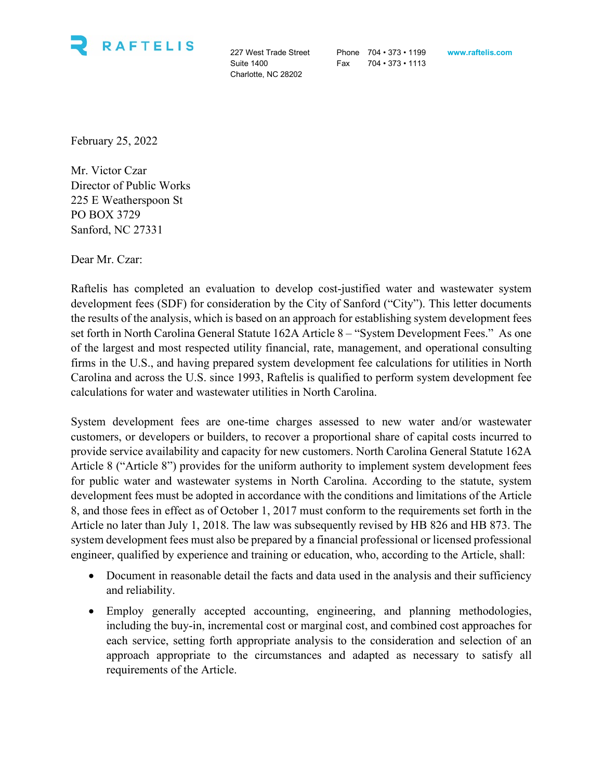

Charlotte, NC 28202

227 West Trade Street Phone 704 • 373 • 1199 **www.raftelis.com** Suite 1400 **Fax** 704 • 373 • 1113

February 25, 2022

Mr. Victor Czar Director of Public Works 225 E Weatherspoon St PO BOX 3729 Sanford, NC 27331

Dear Mr. Czar:

Raftelis has completed an evaluation to develop cost-justified water and wastewater system development fees (SDF) for consideration by the City of Sanford ("City"). This letter documents the results of the analysis, which is based on an approach for establishing system development fees set forth in North Carolina General Statute 162A Article 8 – "System Development Fees." As one of the largest and most respected utility financial, rate, management, and operational consulting firms in the U.S., and having prepared system development fee calculations for utilities in North Carolina and across the U.S. since 1993, Raftelis is qualified to perform system development fee calculations for water and wastewater utilities in North Carolina.

System development fees are one-time charges assessed to new water and/or wastewater customers, or developers or builders, to recover a proportional share of capital costs incurred to provide service availability and capacity for new customers. North Carolina General Statute 162A Article 8 ("Article 8") provides for the uniform authority to implement system development fees for public water and wastewater systems in North Carolina. According to the statute, system development fees must be adopted in accordance with the conditions and limitations of the Article 8, and those fees in effect as of October 1, 2017 must conform to the requirements set forth in the Article no later than July 1, 2018. The law was subsequently revised by HB 826 and HB 873. The system development fees must also be prepared by a financial professional or licensed professional engineer, qualified by experience and training or education, who, according to the Article, shall:

- Document in reasonable detail the facts and data used in the analysis and their sufficiency and reliability.
- Employ generally accepted accounting, engineering, and planning methodologies, including the buy-in, incremental cost or marginal cost, and combined cost approaches for each service, setting forth appropriate analysis to the consideration and selection of an approach appropriate to the circumstances and adapted as necessary to satisfy all requirements of the Article.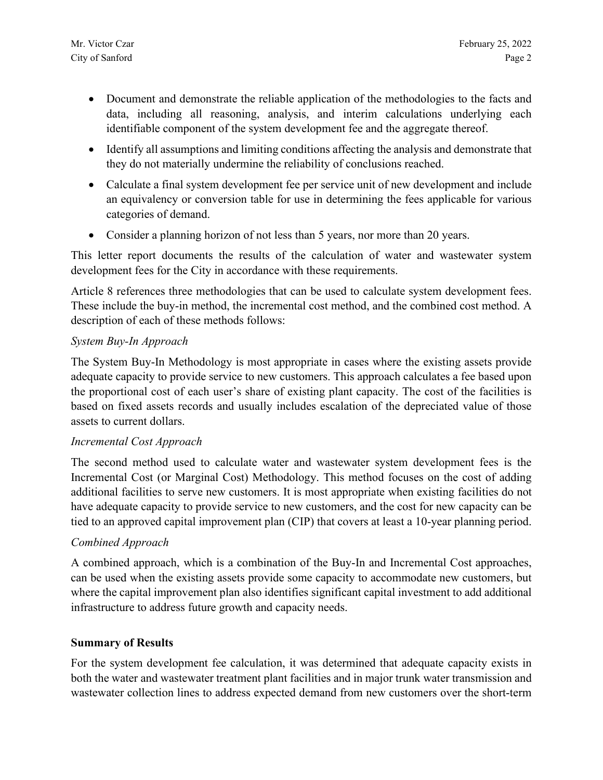- Document and demonstrate the reliable application of the methodologies to the facts and data, including all reasoning, analysis, and interim calculations underlying each identifiable component of the system development fee and the aggregate thereof.
- Identify all assumptions and limiting conditions affecting the analysis and demonstrate that they do not materially undermine the reliability of conclusions reached.
- Calculate a final system development fee per service unit of new development and include an equivalency or conversion table for use in determining the fees applicable for various categories of demand.
- Consider a planning horizon of not less than 5 years, nor more than 20 years.

This letter report documents the results of the calculation of water and wastewater system development fees for the City in accordance with these requirements.

Article 8 references three methodologies that can be used to calculate system development fees. These include the buy-in method, the incremental cost method, and the combined cost method. A description of each of these methods follows:

## *System Buy-In Approach*

The System Buy-In Methodology is most appropriate in cases where the existing assets provide adequate capacity to provide service to new customers. This approach calculates a fee based upon the proportional cost of each user's share of existing plant capacity. The cost of the facilities is based on fixed assets records and usually includes escalation of the depreciated value of those assets to current dollars.

## *Incremental Cost Approach*

The second method used to calculate water and wastewater system development fees is the Incremental Cost (or Marginal Cost) Methodology. This method focuses on the cost of adding additional facilities to serve new customers. It is most appropriate when existing facilities do not have adequate capacity to provide service to new customers, and the cost for new capacity can be tied to an approved capital improvement plan (CIP) that covers at least a 10-year planning period.

## *Combined Approach*

A combined approach, which is a combination of the Buy-In and Incremental Cost approaches, can be used when the existing assets provide some capacity to accommodate new customers, but where the capital improvement plan also identifies significant capital investment to add additional infrastructure to address future growth and capacity needs.

## **Summary of Results**

For the system development fee calculation, it was determined that adequate capacity exists in both the water and wastewater treatment plant facilities and in major trunk water transmission and wastewater collection lines to address expected demand from new customers over the short-term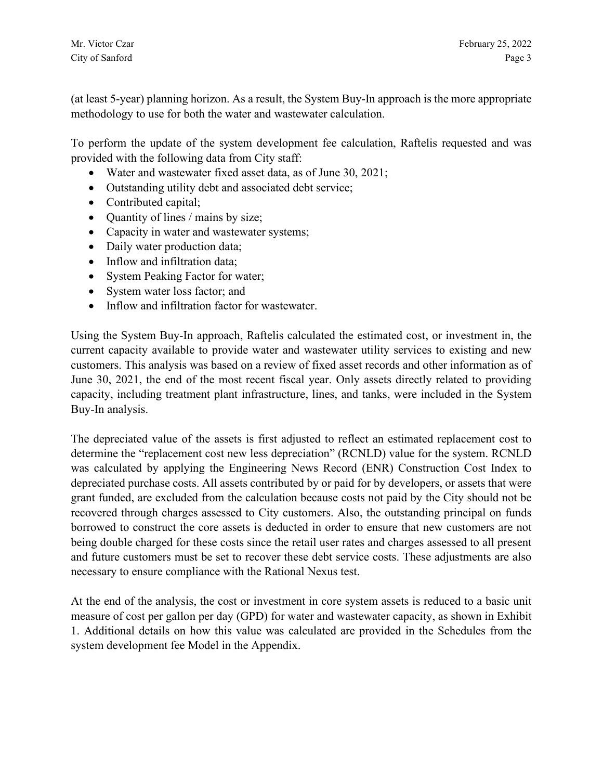(at least 5-year) planning horizon. As a result, the System Buy-In approach is the more appropriate methodology to use for both the water and wastewater calculation.

To perform the update of the system development fee calculation, Raftelis requested and was provided with the following data from City staff:

- Water and wastewater fixed asset data, as of June 30, 2021;
- Outstanding utility debt and associated debt service;
- Contributed capital;
- Quantity of lines / mains by size;
- Capacity in water and wastewater systems;
- Daily water production data;
- Inflow and infiltration data;
- System Peaking Factor for water;
- System water loss factor; and
- Inflow and infiltration factor for wastewater.

Using the System Buy-In approach, Raftelis calculated the estimated cost, or investment in, the current capacity available to provide water and wastewater utility services to existing and new customers. This analysis was based on a review of fixed asset records and other information as of June 30, 2021, the end of the most recent fiscal year. Only assets directly related to providing capacity, including treatment plant infrastructure, lines, and tanks, were included in the System Buy-In analysis.

The depreciated value of the assets is first adjusted to reflect an estimated replacement cost to determine the "replacement cost new less depreciation" (RCNLD) value for the system. RCNLD was calculated by applying the Engineering News Record (ENR) Construction Cost Index to depreciated purchase costs. All assets contributed by or paid for by developers, or assets that were grant funded, are excluded from the calculation because costs not paid by the City should not be recovered through charges assessed to City customers. Also, the outstanding principal on funds borrowed to construct the core assets is deducted in order to ensure that new customers are not being double charged for these costs since the retail user rates and charges assessed to all present and future customers must be set to recover these debt service costs. These adjustments are also necessary to ensure compliance with the Rational Nexus test.

At the end of the analysis, the cost or investment in core system assets is reduced to a basic unit measure of cost per gallon per day (GPD) for water and wastewater capacity, as shown in Exhibit 1. Additional details on how this value was calculated are provided in the Schedules from the system development fee Model in the Appendix.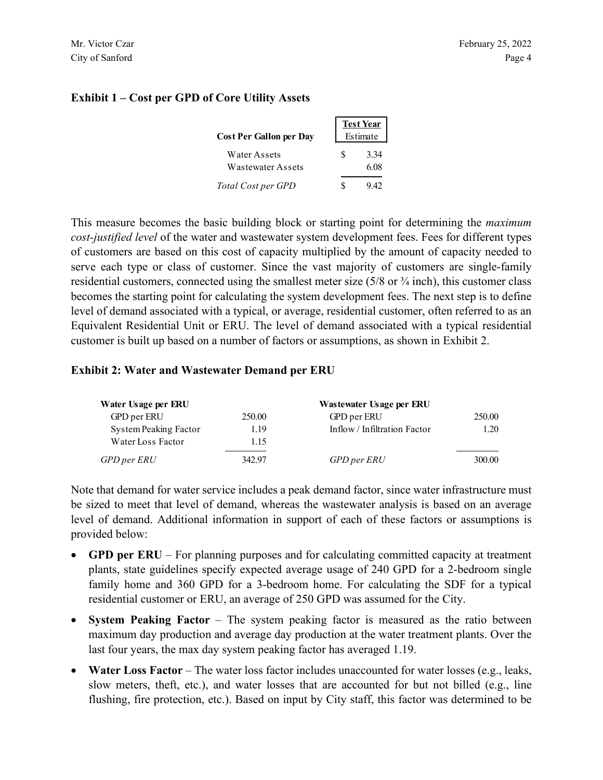|                                | <b>Test Year</b> |
|--------------------------------|------------------|
| <b>Cost Per Gallon per Day</b> | Estimate         |
| Water Assets                   | 3.34             |

### **Exhibit 1 – Cost per GPD of Core Utility Assets**

This measure becomes the basic building block or starting point for determining the *maximum cost-justified level* of the water and wastewater system development fees. Fees for different types of customers are based on this cost of capacity multiplied by the amount of capacity needed to serve each type or class of customer. Since the vast majority of customers are single-family residential customers, connected using the smallest meter size (5/8 or ¾ inch), this customer class becomes the starting point for calculating the system development fees. The next step is to define level of demand associated with a typical, or average, residential customer, often referred to as an Equivalent Residential Unit or ERU. The level of demand associated with a typical residential customer is built up based on a number of factors or assumptions, as shown in Exhibit 2.

Wastewater Assets 6.08 *Total Cost per GPD* \$ 9.42

#### **Exhibit 2: Water and Wastewater Demand per ERU**

| Water Usage per ERU   |        | Wastewater Usage per ERU     |        |
|-----------------------|--------|------------------------------|--------|
| GPD per ERU           | 250.00 | GPD per ERU                  | 250.00 |
| System Peaking Factor | 1.19   | Inflow / Infiltration Factor | 1.20   |
| Water Loss Factor     | 1.15   |                              |        |
| GPD per ERU           | 342.97 | GPD per ERU                  | 300.00 |

Note that demand for water service includes a peak demand factor, since water infrastructure must be sized to meet that level of demand, whereas the wastewater analysis is based on an average level of demand. Additional information in support of each of these factors or assumptions is provided below:

- **GPD per ERU** For planning purposes and for calculating committed capacity at treatment plants, state guidelines specify expected average usage of 240 GPD for a 2-bedroom single family home and 360 GPD for a 3-bedroom home. For calculating the SDF for a typical residential customer or ERU, an average of 250 GPD was assumed for the City.
- **System Peaking Factor** The system peaking factor is measured as the ratio between maximum day production and average day production at the water treatment plants. Over the last four years, the max day system peaking factor has averaged 1.19.
- **Water Loss Factor** The water loss factor includes unaccounted for water losses (e.g., leaks, slow meters, theft, etc.), and water losses that are accounted for but not billed (e.g., line flushing, fire protection, etc.). Based on input by City staff, this factor was determined to be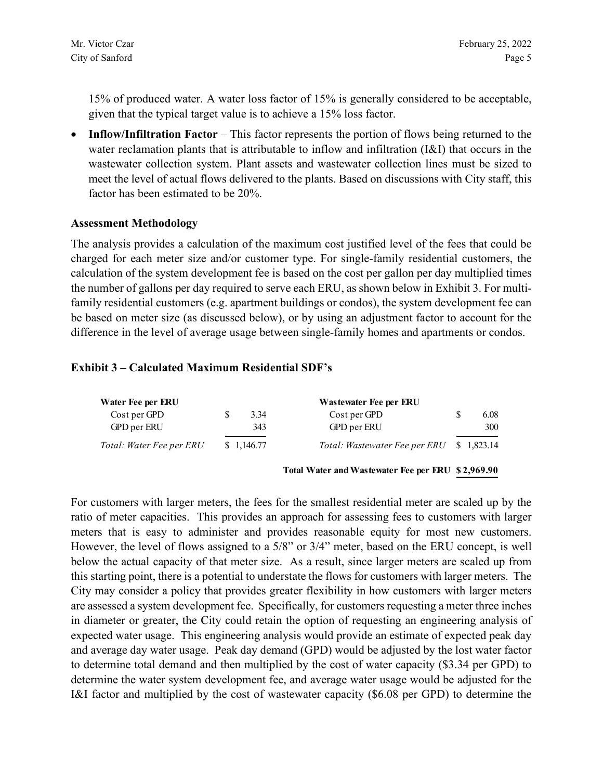15% of produced water. A water loss factor of 15% is generally considered to be acceptable, given that the typical target value is to achieve a 15% loss factor.

• **Inflow/Infiltration Factor** – This factor represents the portion of flows being returned to the water reclamation plants that is attributable to inflow and infiltration (I&I) that occurs in the wastewater collection system. Plant assets and wastewater collection lines must be sized to meet the level of actual flows delivered to the plants. Based on discussions with City staff, this factor has been estimated to be 20%.

### **Assessment Methodology**

The analysis provides a calculation of the maximum cost justified level of the fees that could be charged for each meter size and/or customer type. For single-family residential customers, the calculation of the system development fee is based on the cost per gallon per day multiplied times the number of gallons per day required to serve each ERU, as shown below in Exhibit 3. For multifamily residential customers (e.g. apartment buildings or condos), the system development fee can be based on meter size (as discussed below), or by using an adjustment factor to account for the difference in the level of average usage between single-family homes and apartments or condos.

#### **Exhibit 3 – Calculated Maximum Residential SDF's**

| Water Fee per ERU        | Wastewater Fee per ERU |            |                               |             |
|--------------------------|------------------------|------------|-------------------------------|-------------|
| Cost per GPD             |                        | 3.34       | Cost per GPD                  | 6.08        |
| GPD per ERU              |                        | 343        | GPD per ERU                   | 300         |
| Total: Water Fee per ERU |                        | \$1,146.77 | Total: Wastewater Fee per ERU | \$ 1,823.14 |

**Total Water and Wastewater Fee per ERU \$ 2,969.90**

For customers with larger meters, the fees for the smallest residential meter are scaled up by the ratio of meter capacities. This provides an approach for assessing fees to customers with larger meters that is easy to administer and provides reasonable equity for most new customers. However, the level of flows assigned to a 5/8" or 3/4" meter, based on the ERU concept, is well below the actual capacity of that meter size. As a result, since larger meters are scaled up from this starting point, there is a potential to understate the flows for customers with larger meters. The City may consider a policy that provides greater flexibility in how customers with larger meters are assessed a system development fee. Specifically, for customers requesting a meter three inches in diameter or greater, the City could retain the option of requesting an engineering analysis of expected water usage. This engineering analysis would provide an estimate of expected peak day and average day water usage. Peak day demand (GPD) would be adjusted by the lost water factor to determine total demand and then multiplied by the cost of water capacity (\$3.34 per GPD) to determine the water system development fee, and average water usage would be adjusted for the I&I factor and multiplied by the cost of wastewater capacity (\$6.08 per GPD) to determine the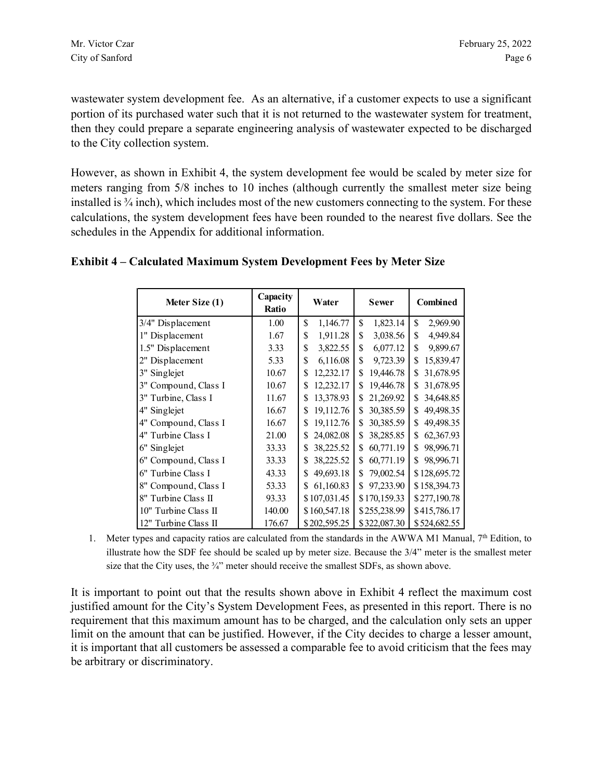wastewater system development fee. As an alternative, if a customer expects to use a significant portion of its purchased water such that it is not returned to the wastewater system for treatment, then they could prepare a separate engineering analysis of wastewater expected to be discharged to the City collection system.

However, as shown in Exhibit 4, the system development fee would be scaled by meter size for meters ranging from 5/8 inches to 10 inches (although currently the smallest meter size being installed is  $\frac{3}{4}$  inch), which includes most of the new customers connecting to the system. For these calculations, the system development fees have been rounded to the nearest five dollars. See the schedules in the Appendix for additional information.

### **Exhibit 4 – Calculated Maximum System Development Fees by Meter Size**

| Meter Size (1)       | Capacity<br>Ratio | Water           | <b>Sewer</b>    | Combined         |
|----------------------|-------------------|-----------------|-----------------|------------------|
| $3/4$ " Displacement | 1.00              | \$<br>1,146.77  | \$<br>1,823.14  | \$<br>2,969.90   |
| 1" Displacement      | 1.67              | 1,911.28<br>\$  | \$<br>3,038.56  | \$<br>4,949.84   |
| 1.5" Displacement    | 3.33              | \$<br>3,822.55  | 6,077.12<br>\$  | \$<br>9,899.67   |
| 2" Displacement      | 5.33              | \$<br>6,116.08  | 9,723.39<br>\$  | 15,839.47<br>\$  |
| 3" Singlejet         | 10.67             | 12,232.17<br>\$ | 19,446.78<br>\$ | 31,678.95<br>S   |
| 3" Compound, Class I | 10.67             | 12,232.17<br>\$ | 19,446.78<br>\$ | 31,678.95<br>\$. |
| 3" Turbine, Class I  | 11.67             | 13,378.93<br>\$ | 21,269.92<br>S. | 34,648.85<br>\$  |
| 4" Singlejet         | 16.67             | 19,112.76<br>\$ | 30,385.59<br>\$ | 49,498.35<br>\$  |
| 4" Compound, Class I | 16.67             | 19,112.76<br>\$ | 30,385.59<br>\$ | 49,498.35<br>\$  |
| 4" Turbine Class I   | 21.00             | 24,082.08<br>\$ | 38,285.85<br>\$ | 62,367.93<br>\$  |
| 6" Singlejet         | 33.33             | 38,225.52<br>\$ | 60,771.19<br>\$ | \$<br>98,996.71  |
| 6" Compound, Class I | 33.33             | 38,225.52<br>\$ | 60,771.19<br>\$ | 98,996.71<br>\$. |
| 6" Turbine Class I   | 43.33             | 49,693.18<br>\$ | 79,002.54<br>\$ | \$128,695.72     |
| 8" Compound, Class I | 53.33             | 61,160.83<br>\$ | 97,233.90<br>\$ | \$158,394.73     |
| 8" Turbine Class II  | 93.33             | \$107,031.45    | \$170,159.33    | \$277,190.78     |
| 10" Turbine Class II | 140.00            | \$160,547.18    | \$255,238.99    | \$415,786.17     |
| 12" Turbine Class II | 176.67            | \$202,595.25    | \$322,087.30    | \$524,682.55     |

1. Meter types and capacity ratios are calculated from the standards in the AWWA M1 Manual,  $7<sup>th</sup>$  Edition, to illustrate how the SDF fee should be scaled up by meter size. Because the 3/4" meter is the smallest meter size that the City uses, the  $\frac{3}{4}$ " meter should receive the smallest SDFs, as shown above.

It is important to point out that the results shown above in Exhibit 4 reflect the maximum cost justified amount for the City's System Development Fees, as presented in this report. There is no requirement that this maximum amount has to be charged, and the calculation only sets an upper limit on the amount that can be justified. However, if the City decides to charge a lesser amount, it is important that all customers be assessed a comparable fee to avoid criticism that the fees may be arbitrary or discriminatory.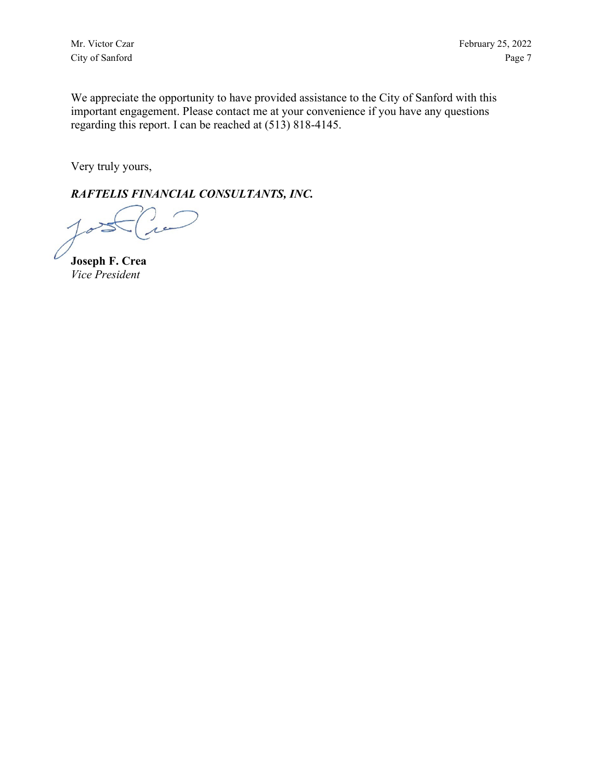Mr. Victor Czar February 25, 2022 City of Sanford Page 7

We appreciate the opportunity to have provided assistance to the City of Sanford with this important engagement. Please contact me at your convenience if you have any questions regarding this report. I can be reached at (513) 818-4145.

Very truly yours,

*RAFTELIS FINANCIAL CONSULTANTS, INC.*

**Joseph F. Crea** *Vice President*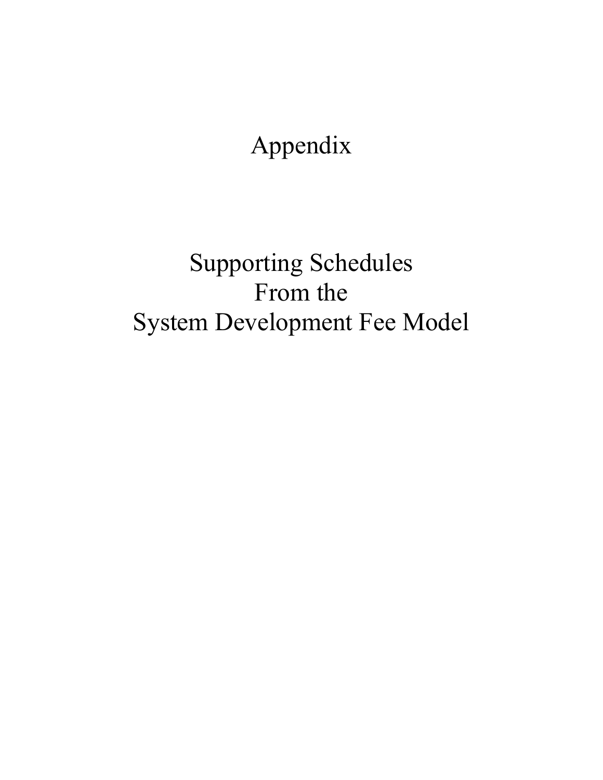Appendix

Supporting Schedules From the System Development Fee Model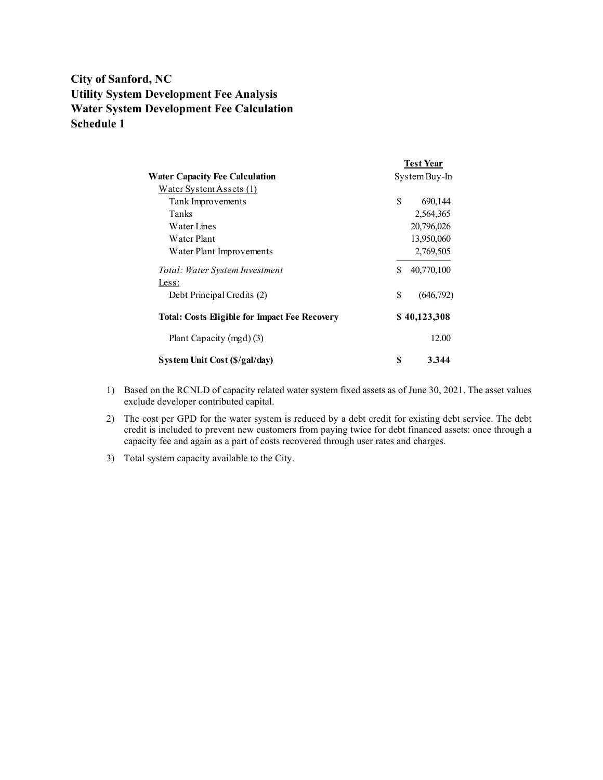# **City of Sanford, NC Utility System Development Fee Analysis Water System Development Fee Calculation Schedule 1**

|                                                      |    | <b>Test Year</b> |
|------------------------------------------------------|----|------------------|
| <b>Water Capacity Fee Calculation</b>                |    | System Buy-In    |
| Water System Assets (1)                              |    |                  |
| Tank Improvements                                    | \$ | 690,144          |
| Tanks                                                |    | 2,564,365        |
| Water Lines                                          |    | 20,796,026       |
| Water Plant                                          |    | 13,950,060       |
| Water Plant Improvements                             |    | 2,769,505        |
| Total: Water System Investment                       | \$ | 40,770,100       |
| Less:                                                |    |                  |
| Debt Principal Credits (2)                           | \$ | (646,792)        |
| <b>Total: Costs Eligible for Impact Fee Recovery</b> |    | \$40,123,308     |
| Plant Capacity (mgd) (3)                             |    | 12.00            |
| System Unit Cost (\$/gal/day)                        | S  | 3.344            |

- 1) Based on the RCNLD of capacity related water system fixed assets as of June 30, 2021. The asset values exclude developer contributed capital.
- 2) The cost per GPD for the water system is reduced by a debt credit for existing debt service. The debt credit is included to prevent new customers from paying twice for debt financed assets: once through a capacity fee and again as a part of costs recovered through user rates and charges.
- 3) Total system capacity available to the City.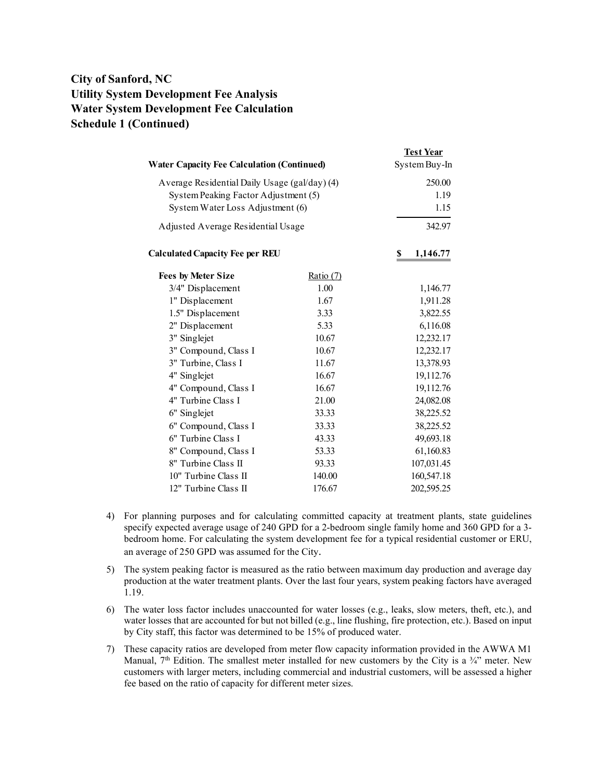# **City of Sanford, NC Utility System Development Fee Analysis Water System Development Fee Calculation Schedule 1 (Continued)**

| <b>Water Capacity Fee Calculation (Continued)</b>                                                                         |             | <b>Test Year</b><br>System Buy-In |
|---------------------------------------------------------------------------------------------------------------------------|-------------|-----------------------------------|
| Average Residential Daily Usage (gal/day) (4)<br>System Peaking Factor Adjustment (5)<br>System Water Loss Adjustment (6) |             | 250.00<br>1.19<br>1.15            |
| Adjusted Average Residential Usage                                                                                        |             | 342.97                            |
| <b>Calculated Capacity Fee per REU</b>                                                                                    |             | \$<br>1,146.77                    |
| <b>Fees by Meter Size</b>                                                                                                 | Ratio $(7)$ |                                   |
| 3/4" Displacement                                                                                                         | 1.00        | 1,146.77                          |
| 1" Displacement                                                                                                           | 1.67        | 1,911.28                          |
| 1.5" Displacement                                                                                                         | 3.33        | 3,822.55                          |
| 2" Displacement                                                                                                           | 5.33        | 6,116.08                          |
| 3" Singlejet                                                                                                              | 10.67       | 12,232.17                         |
| 3" Compound, Class I                                                                                                      | 10.67       | 12,232.17                         |
| 3" Turbine, Class I                                                                                                       | 11.67       | 13,378.93                         |
| 4" Singlejet                                                                                                              | 16.67       | 19,112.76                         |
| 4" Compound, Class I                                                                                                      | 16.67       | 19,112.76                         |
| 4" Turbine Class I                                                                                                        | 21.00       | 24,082.08                         |
| 6" Singlejet                                                                                                              | 33.33       | 38,225.52                         |
| 6" Compound, Class I                                                                                                      | 33.33       | 38,225.52                         |
| 6" Turbine Class I                                                                                                        | 43.33       | 49,693.18                         |
| 8" Compound, Class I                                                                                                      | 53.33       | 61,160.83                         |
| 8" Turbine Class II                                                                                                       | 93.33       | 107,031.45                        |
| 10" Turbine Class II                                                                                                      | 140.00      | 160,547.18                        |
| 12" Turbine Class II                                                                                                      | 176.67      | 202,595.25                        |

- 4) For planning purposes and for calculating committed capacity at treatment plants, state guidelines specify expected average usage of 240 GPD for a 2-bedroom single family home and 360 GPD for a 3 bedroom home. For calculating the system development fee for a typical residential customer or ERU, an average of 250 GPD was assumed for the City.
- 5) The system peaking factor is measured as the ratio between maximum day production and average day production at the water treatment plants. Over the last four years, system peaking factors have averaged 1.19.
- 6) The water loss factor includes unaccounted for water losses (e.g., leaks, slow meters, theft, etc.), and water losses that are accounted for but not billed (e.g., line flushing, fire protection, etc.). Based on input by City staff, this factor was determined to be 15% of produced water.
- 7) These capacity ratios are developed from meter flow capacity information provided in the AWWA M1 Manual,  $7<sup>th</sup>$  Edition. The smallest meter installed for new customers by the City is a  $\frac{3}{4}$ " meter. New customers with larger meters, including commercial and industrial customers, will be assessed a higher fee based on the ratio of capacity for different meter sizes.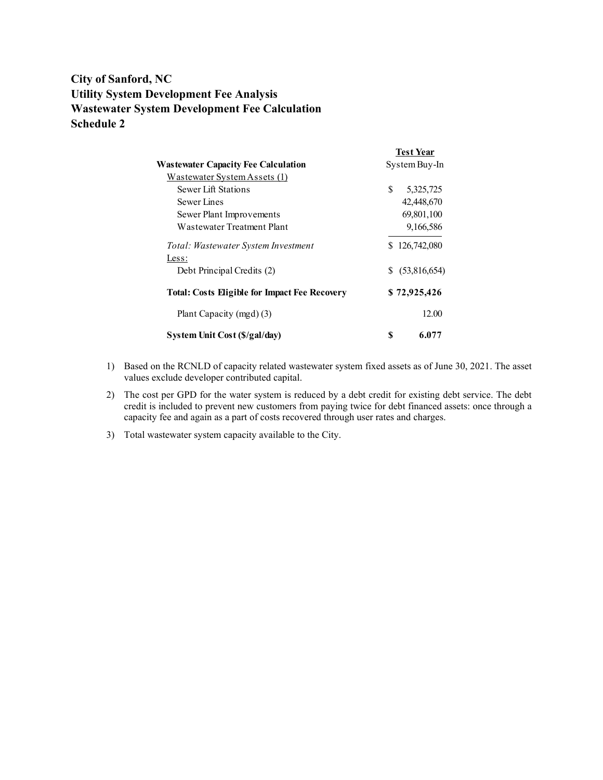# **City of Sanford, NC Utility System Development Fee Analysis Wastewater System Development Fee Calculation Schedule 2**

|                                                      |    | <b>Test Year</b> |
|------------------------------------------------------|----|------------------|
| <b>Wastewater Capacity Fee Calculation</b>           |    | System Buy-In    |
| Wastewater System Assets (1)                         |    |                  |
| Sewer Lift Stations                                  | S  | 5,325,725        |
| Sewer Lines                                          |    | 42,448,670       |
| Sewer Plant Improvements                             |    | 69,801,100       |
| Wastewater Treatment Plant                           |    | 9,166,586        |
| Total: Wastewater System Investment                  |    | \$126,742,080    |
| Less:                                                |    |                  |
| Debt Principal Credits (2)                           | S. | (53,816,654)     |
| <b>Total: Costs Eligible for Impact Fee Recovery</b> |    | \$72,925,426     |
| Plant Capacity (mgd) (3)                             |    | 12.00            |
| System Unit Cost (\$/gal/day)                        | \$ | 6.077            |

- 1) Based on the RCNLD of capacity related wastewater system fixed assets as of June 30, 2021. The asset values exclude developer contributed capital.
- 2) The cost per GPD for the water system is reduced by a debt credit for existing debt service. The debt credit is included to prevent new customers from paying twice for debt financed assets: once through a capacity fee and again as a part of costs recovered through user rates and charges.
- 3) Total wastewater system capacity available to the City.